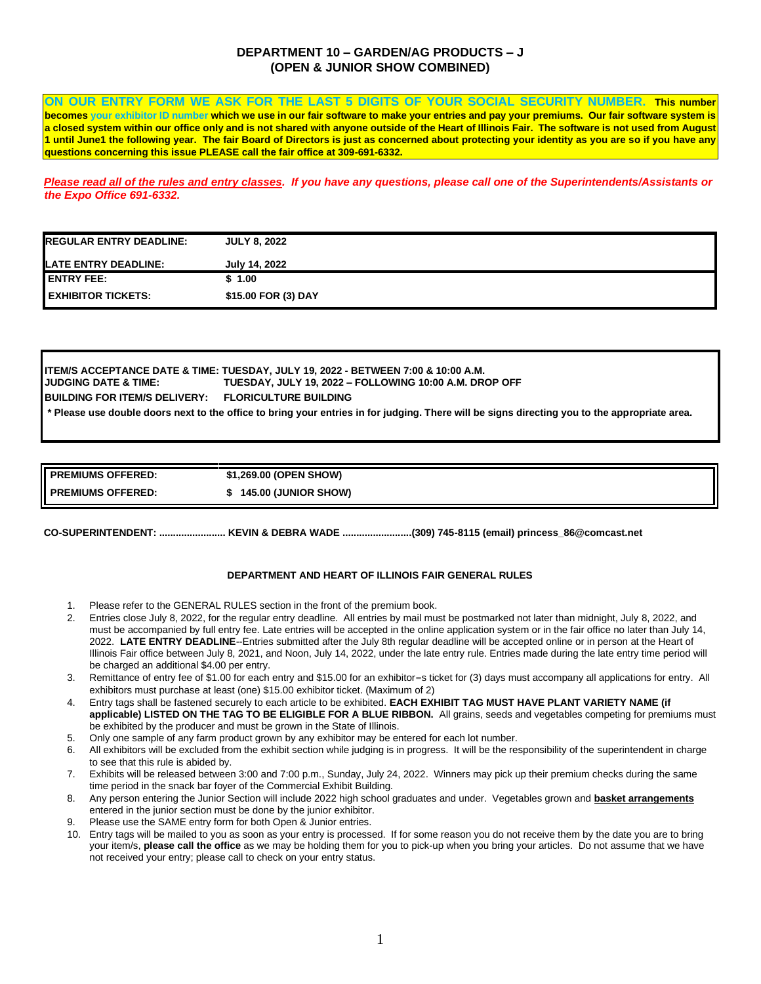### **DEPARTMENT 10 – GARDEN/AG PRODUCTS – J (OPEN & JUNIOR SHOW COMBINED)**

**ON OUR ENTRY FORM WE ASK FOR THE LAST 5 DIGITS OF YOUR SOCIAL SECURITY NUMBER. This number becomes your exhibitor ID number which we use in our fair software to make your entries and pay your premiums. Our fair software system is a closed system within our office only and is not shared with anyone outside of the Heart of Illinois Fair. The software is not used from August 1 until June1 the following year. The fair Board of Directors is just as concerned about protecting your identity as you are so if you have any questions concerning this issue PLEASE call the fair office at 309-691-6332.** 

*Please read all of the rules and entry classes. If you have any questions, please call one of the Superintendents/Assistants or the Expo Office 691-6332.* 

| <b>IREGULAR ENTRY DEADLINE:</b> | <b>JULY 8, 2022</b> |
|---------------------------------|---------------------|
| <b>ILATE ENTRY DEADLINE:</b>    | July 14, 2022       |
| <b>I ENTRY FEE:</b>             | \$1.00              |
| <b>LEXHIBITOR TICKETS:</b>      | \$15.00 FOR (3) DAY |

**ITEM/S ACCEPTANCE DATE & TIME: TUESDAY, JULY 19, 2022 - BETWEEN 7:00 & 10:00 A.M. JUDGING DATE & TIME: TUESDAY, JULY 19, 2022 – FOLLOWING 10:00 A.M. DROP OFF BUILDING FOR ITEM/S DELIVERY: FLORICULTURE BUILDING \* Please use double doors next to the office to bring your entries in for judging. There will be signs directing you to the appropriate area.** 

| <b>PREMIUMS OFFERED:</b>    | \$1,269.00 (OPEN SHOW)      |  |
|-----------------------------|-----------------------------|--|
| <b>II PREMIUMS OFFERED:</b> | <b>145.00 (JUNIOR SHOW)</b> |  |

**CO-SUPERINTENDENT: ........................ KEVIN & DEBRA WADE .........................(309) 745-8115 (email) princess\_86@comcast.net** 

### **DEPARTMENT AND HEART OF ILLINOIS FAIR GENERAL RULES**

- 1. Please refer to the GENERAL RULES section in the front of the premium book.
- 2. Entries close July 8, 2022, for the regular entry deadline. All entries by mail must be postmarked not later than midnight, July 8, 2022, and must be accompanied by full entry fee. Late entries will be accepted in the online application system or in the fair office no later than July 14, 2022. **LATE ENTRY DEADLINE**--Entries submitted after the July 8th regular deadline will be accepted online or in person at the Heart of Illinois Fair office between July 8, 2021, and Noon, July 14, 2022, under the late entry rule. Entries made during the late entry time period will be charged an additional \$4.00 per entry.
- 3. Remittance of entry fee of \$1.00 for each entry and \$15.00 for an exhibitor=s ticket for (3) days must accompany all applications for entry. All exhibitors must purchase at least (one) \$15.00 exhibitor ticket. (Maximum of 2)
- 4. Entry tags shall be fastened securely to each article to be exhibited. **EACH EXHIBIT TAG MUST HAVE PLANT VARIETY NAME (if applicable) LISTED ON THE TAG TO BE ELIGIBLE FOR A BLUE RIBBON.** All grains, seeds and vegetables competing for premiums must be exhibited by the producer and must be grown in the State of Illinois.
- 5. Only one sample of any farm product grown by any exhibitor may be entered for each lot number.
- 6. All exhibitors will be excluded from the exhibit section while judging is in progress. It will be the responsibility of the superintendent in charge to see that this rule is abided by.
- 7. Exhibits will be released between 3:00 and 7:00 p.m., Sunday, July 24, 2022. Winners may pick up their premium checks during the same time period in the snack bar foyer of the Commercial Exhibit Building.
- 8. Any person entering the Junior Section will include 2022 high school graduates and under. Vegetables grown and **basket arrangements** entered in the junior section must be done by the junior exhibitor.
- 9. Please use the SAME entry form for both Open & Junior entries.
- 10. Entry tags will be mailed to you as soon as your entry is processed. If for some reason you do not receive them by the date you are to bring your item/s, **please call the office** as we may be holding them for you to pick-up when you bring your articles. Do not assume that we have not received your entry; please call to check on your entry status.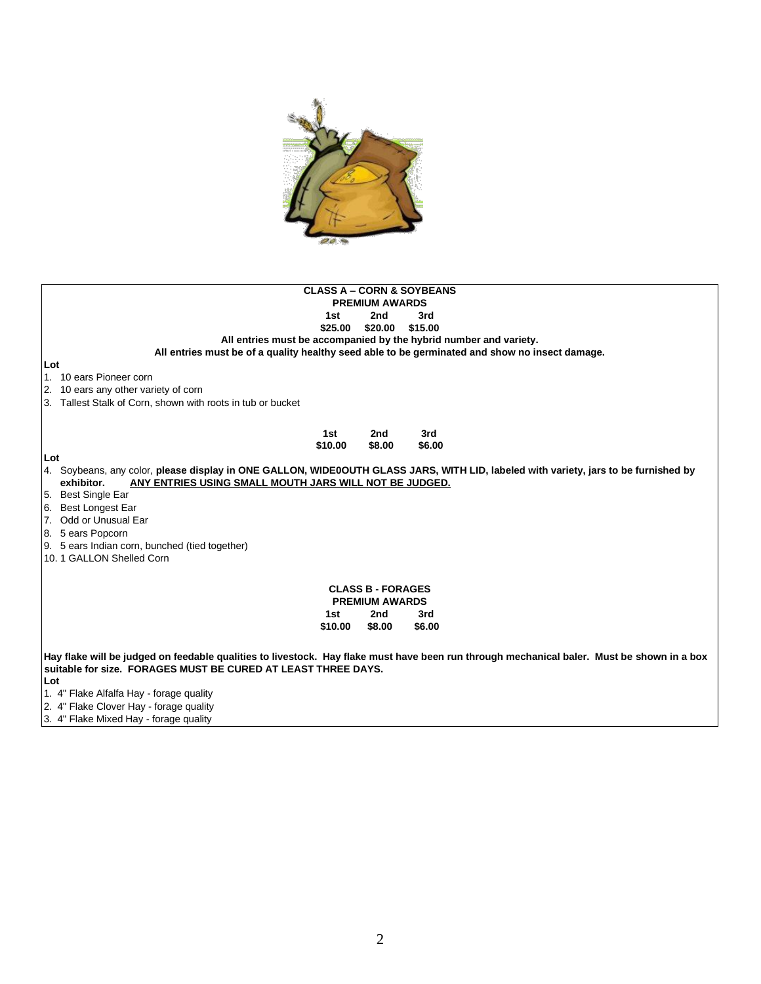

| <b>CLASS A - CORN &amp; SOYBEANS</b>                                                                                                       |  |  |  |  |  |  |
|--------------------------------------------------------------------------------------------------------------------------------------------|--|--|--|--|--|--|
| <b>PREMIUM AWARDS</b>                                                                                                                      |  |  |  |  |  |  |
| 2nd<br>3rd<br>1st                                                                                                                          |  |  |  |  |  |  |
| \$20.00<br>\$15.00<br>\$25.00                                                                                                              |  |  |  |  |  |  |
| All entries must be accompanied by the hybrid number and variety.                                                                          |  |  |  |  |  |  |
| All entries must be of a quality healthy seed able to be germinated and show no insect damage.                                             |  |  |  |  |  |  |
| Lot                                                                                                                                        |  |  |  |  |  |  |
| 1. 10 ears Pioneer corn                                                                                                                    |  |  |  |  |  |  |
| 2. 10 ears any other variety of corn                                                                                                       |  |  |  |  |  |  |
| 3. Tallest Stalk of Corn, shown with roots in tub or bucket                                                                                |  |  |  |  |  |  |
|                                                                                                                                            |  |  |  |  |  |  |
| 1st<br>3rd<br>2nd                                                                                                                          |  |  |  |  |  |  |
| \$10.00<br>\$8.00<br>\$6.00                                                                                                                |  |  |  |  |  |  |
| Lot                                                                                                                                        |  |  |  |  |  |  |
| 4. Soybeans, any color, please display in ONE GALLON, WIDE0OUTH GLASS JARS, WITH LID, labeled with variety, jars to be furnished by        |  |  |  |  |  |  |
| exhibitor.<br>ANY ENTRIES USING SMALL MOUTH JARS WILL NOT BE JUDGED.                                                                       |  |  |  |  |  |  |
| 5. Best Single Ear                                                                                                                         |  |  |  |  |  |  |
| 6. Best Longest Ear                                                                                                                        |  |  |  |  |  |  |
| 7. Odd or Unusual Ear                                                                                                                      |  |  |  |  |  |  |
|                                                                                                                                            |  |  |  |  |  |  |
| 8. 5 ears Popcorn                                                                                                                          |  |  |  |  |  |  |
| 9. 5 ears Indian corn, bunched (tied together)                                                                                             |  |  |  |  |  |  |
| 10. 1 GALLON Shelled Corn                                                                                                                  |  |  |  |  |  |  |
|                                                                                                                                            |  |  |  |  |  |  |
| <b>CLASS B - FORAGES</b>                                                                                                                   |  |  |  |  |  |  |
| <b>PREMIUM AWARDS</b>                                                                                                                      |  |  |  |  |  |  |
| 2nd<br>3rd<br>1st                                                                                                                          |  |  |  |  |  |  |
| \$6.00<br>\$10.00<br>\$8.00                                                                                                                |  |  |  |  |  |  |
|                                                                                                                                            |  |  |  |  |  |  |
| Hay flake will be judged on feedable qualities to livestock. Hay flake must have been run through mechanical baler. Must be shown in a box |  |  |  |  |  |  |
| suitable for size. FORAGES MUST BE CURED AT LEAST THREE DAYS.                                                                              |  |  |  |  |  |  |
| Lot                                                                                                                                        |  |  |  |  |  |  |
| 1. 4" Flake Alfalfa Hay - forage quality                                                                                                   |  |  |  |  |  |  |
| 2. 4" Flake Clover Hay - forage quality                                                                                                    |  |  |  |  |  |  |

3. 4" Flake Mixed Hay - forage quality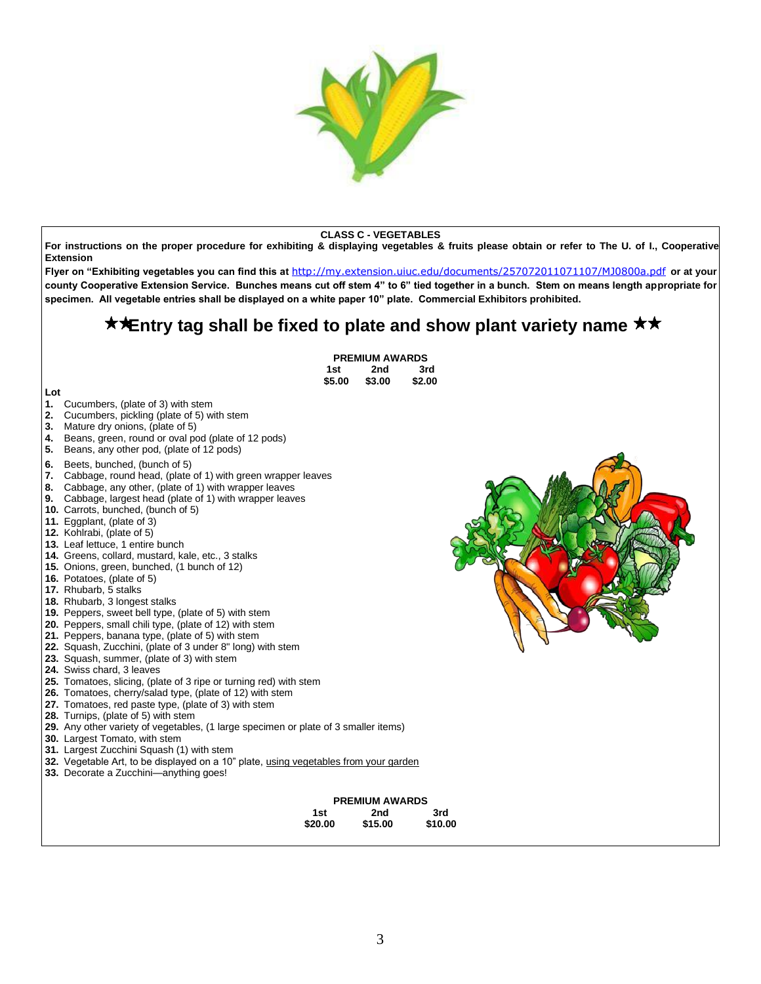

#### **CLASS C - VEGETABLES**

**For instructions on the proper procedure for exhibiting & displaying vegetables & fruits please obtain or refer to The U. of I., Cooperative Extension** 

**Flyer on "Exhibiting vegetables you can find this [at](http://my.extension.uiuc.edu/documents/257072011071107/MJ0800a.pdf)** <http://my.extension.uiuc.edu/documents/257072011071107/MJ0800a.pdf> **[o](http://my.extension.uiuc.edu/documents/257072011071107/MJ0800a.pdf)r at your county Cooperative Extension Service. Bunches means cut off stem 4" to 6" tied together in a bunch. Stem on means length appropriate for specimen. All vegetable entries shall be displayed on a white paper 10" plate. Commercial Exhibitors prohibited.** 

# **★★Entry tag shall be fixed to plate and show plant variety name ★★**

|                |                                                                                                                                                                                                                                                                                                                                                                                                                                                                                                                                                                                                                                                                                                                                                                                                                                                                                                                                                                                                                                                                                                                                                                                                                                                                                                                                                                                                                                                                                                                                                                                                                                                                                       | <b>PREMIUM AWARDS</b>                   |                |  |
|----------------|---------------------------------------------------------------------------------------------------------------------------------------------------------------------------------------------------------------------------------------------------------------------------------------------------------------------------------------------------------------------------------------------------------------------------------------------------------------------------------------------------------------------------------------------------------------------------------------------------------------------------------------------------------------------------------------------------------------------------------------------------------------------------------------------------------------------------------------------------------------------------------------------------------------------------------------------------------------------------------------------------------------------------------------------------------------------------------------------------------------------------------------------------------------------------------------------------------------------------------------------------------------------------------------------------------------------------------------------------------------------------------------------------------------------------------------------------------------------------------------------------------------------------------------------------------------------------------------------------------------------------------------------------------------------------------------|-----------------------------------------|----------------|--|
|                | 1st                                                                                                                                                                                                                                                                                                                                                                                                                                                                                                                                                                                                                                                                                                                                                                                                                                                                                                                                                                                                                                                                                                                                                                                                                                                                                                                                                                                                                                                                                                                                                                                                                                                                                   | 2nd                                     | 3rd            |  |
|                | \$5.00                                                                                                                                                                                                                                                                                                                                                                                                                                                                                                                                                                                                                                                                                                                                                                                                                                                                                                                                                                                                                                                                                                                                                                                                                                                                                                                                                                                                                                                                                                                                                                                                                                                                                | \$3.00                                  | \$2.00         |  |
| 2.<br>3.<br>5. | Lot<br>1.<br>Cucumbers, (plate of 3) with stem<br>Cucumbers, pickling (plate of 5) with stem<br>Mature dry onions, (plate of 5)<br>Beans, green, round or oval pod (plate of 12 pods)<br>4.<br>Beans, any other pod, (plate of 12 pods)<br>6.<br>Beets, bunched, (bunch of 5)<br>7. Cabbage, round head, (plate of 1) with green wrapper leaves<br>8. Cabbage, any other, (plate of 1) with wrapper leaves<br><b>9.</b> Cabbage, largest head (plate of 1) with wrapper leaves<br><b>10.</b> Carrots, bunched, (bunch of 5)<br>11. Eggplant, (plate of 3)<br>12. Kohlrabi, (plate of 5)<br>13. Leaf lettuce, 1 entire bunch<br>14. Greens, collard, mustard, kale, etc., 3 stalks<br>15. Onions, green, bunched, (1 bunch of 12)<br>16. Potatoes, (plate of 5)<br>17. Rhubarb, 5 stalks<br>18. Rhubarb, 3 longest stalks<br><b>19.</b> Peppers, sweet bell type, (plate of 5) with stem<br>20. Peppers, small chili type, (plate of 12) with stem<br>21. Peppers, banana type, (plate of 5) with stem<br>22. Squash, Zucchini, (plate of 3 under 8" long) with stem<br>23. Squash, summer, (plate of 3) with stem<br>24. Swiss chard, 3 leaves<br>25. Tomatoes, slicing, (plate of 3 ripe or turning red) with stem<br>26. Tomatoes, cherry/salad type, (plate of 12) with stem<br>27. Tomatoes, red paste type, (plate of 3) with stem<br>28. Turnips, (plate of 5) with stem<br>29. Any other variety of vegetables, (1 large specimen or plate of 3 smaller items)<br>30. Largest Tomato, with stem<br>31. Largest Zucchini Squash (1) with stem<br>32. Vegetable Art, to be displayed on a 10" plate, using vegetables from your garden<br>33. Decorate a Zucchini-anything goes! |                                         |                |  |
|                |                                                                                                                                                                                                                                                                                                                                                                                                                                                                                                                                                                                                                                                                                                                                                                                                                                                                                                                                                                                                                                                                                                                                                                                                                                                                                                                                                                                                                                                                                                                                                                                                                                                                                       |                                         |                |  |
|                | 1st<br>\$20.00                                                                                                                                                                                                                                                                                                                                                                                                                                                                                                                                                                                                                                                                                                                                                                                                                                                                                                                                                                                                                                                                                                                                                                                                                                                                                                                                                                                                                                                                                                                                                                                                                                                                        | <b>PREMIUM AWARDS</b><br>2nd<br>\$15.00 | 3rd<br>\$10.00 |  |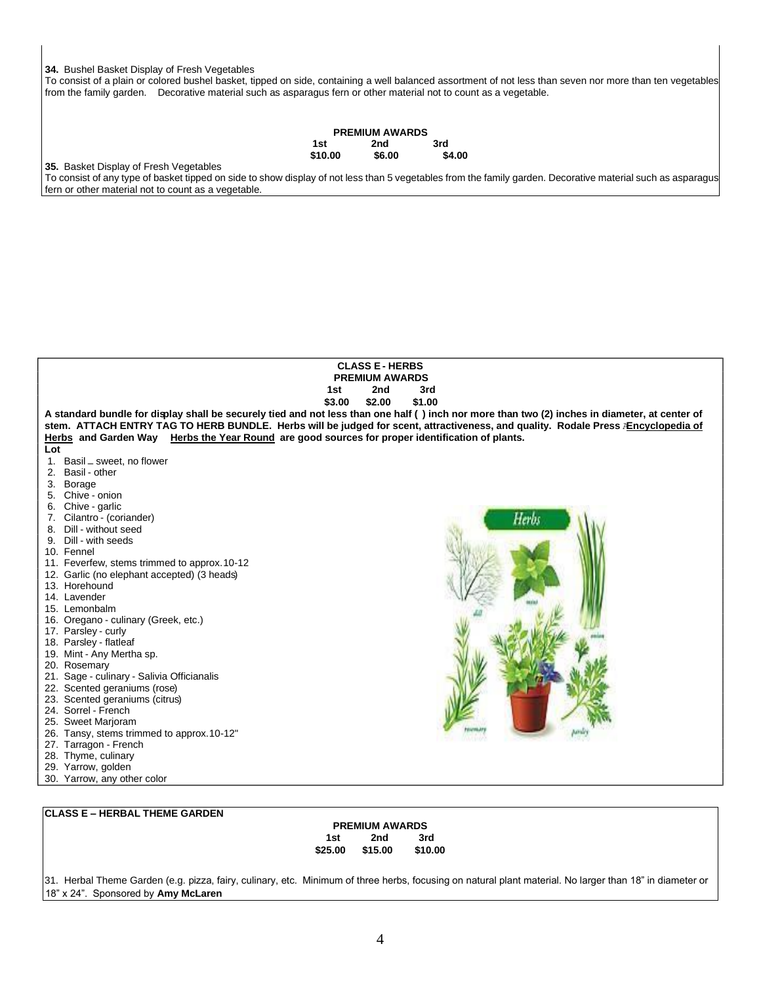### **34.** Bushel Basket Display of Fresh Vegetables

To consist of a plain or colored bushel basket, tipped on side, containing a well balanced assortment of not less than seven nor more than ten vegetables from the family garden. Decorative material such as asparagus fern or other material not to count as a vegetable.

|         | <b>PREMIUM AWARDS</b> |        |
|---------|-----------------------|--------|
| 1st     | 2nd                   | 3rd    |
| \$10.00 | \$6.00                | \$4.00 |

**35.** Basket Display of Fresh Vegetables

To consist of any type of basket tipped on side to show display of not less than 5 vegetables from the family garden. Decorative material such as asparagus fern or other material not to count as a vegetable.

| <b>CLASS E - HERBS</b>                                                                          |                                                                                                                                                |  |  |  |
|-------------------------------------------------------------------------------------------------|------------------------------------------------------------------------------------------------------------------------------------------------|--|--|--|
| <b>PREMIUM AWARDS</b>                                                                           |                                                                                                                                                |  |  |  |
|                                                                                                 | 2nd<br>3rd<br>1st                                                                                                                              |  |  |  |
|                                                                                                 | \$3.00<br>\$2.00<br>\$1.00                                                                                                                     |  |  |  |
|                                                                                                 | A standard bundle for display shall be securely tied and not less than one half () inch nor more than two (2) inches in diameter, at center of |  |  |  |
|                                                                                                 | stem. ATTACH ENTRY TAG TO HERB BUNDLE. Herbs will be judged for scent, attractiveness, and quality. Rodale Press <b>AEncyclopedia of</b>       |  |  |  |
| Herbs and Garden Way Herbs the Year Round are good sources for proper identification of plants. |                                                                                                                                                |  |  |  |
| Lot                                                                                             |                                                                                                                                                |  |  |  |
| Basil - sweet, no flower<br>1.                                                                  |                                                                                                                                                |  |  |  |
| 2. Basil - other                                                                                |                                                                                                                                                |  |  |  |
| 3. Borage                                                                                       |                                                                                                                                                |  |  |  |
| 5. Chive - onion                                                                                |                                                                                                                                                |  |  |  |
| 6. Chive - garlic                                                                               |                                                                                                                                                |  |  |  |
| 7. Cilantro - (coriander)                                                                       | Herb.                                                                                                                                          |  |  |  |
| 8. Dill - without seed                                                                          |                                                                                                                                                |  |  |  |
| 9. Dill - with seeds                                                                            |                                                                                                                                                |  |  |  |
| 10. Fennel                                                                                      |                                                                                                                                                |  |  |  |
| 11. Feverfew, stems trimmed to approx.10-12                                                     |                                                                                                                                                |  |  |  |
| 12. Garlic (no elephant accepted) (3 heads)<br>13. Horehound                                    |                                                                                                                                                |  |  |  |
| 14. Lavender                                                                                    |                                                                                                                                                |  |  |  |
| 15. Lemonbalm                                                                                   |                                                                                                                                                |  |  |  |
| 16. Oregano - culinary (Greek, etc.)                                                            |                                                                                                                                                |  |  |  |
| 17. Parsley - curly                                                                             |                                                                                                                                                |  |  |  |
| 18. Parsley - flatleaf                                                                          |                                                                                                                                                |  |  |  |
| 19. Mint - Any Mertha sp.                                                                       |                                                                                                                                                |  |  |  |
| 20. Rosemary                                                                                    |                                                                                                                                                |  |  |  |
| 21. Sage - culinary - Salivia Officianalis                                                      |                                                                                                                                                |  |  |  |
| 22. Scented geraniums (rose)                                                                    |                                                                                                                                                |  |  |  |
| 23. Scented geraniums (citrus)                                                                  |                                                                                                                                                |  |  |  |
| 24. Sorrel - French                                                                             |                                                                                                                                                |  |  |  |
| 25. Sweet Marjoram                                                                              |                                                                                                                                                |  |  |  |
| 26. Tansy, stems trimmed to approx.10-12"                                                       |                                                                                                                                                |  |  |  |
| 27. Tarragon - French                                                                           |                                                                                                                                                |  |  |  |
| 28. Thyme, culinary                                                                             |                                                                                                                                                |  |  |  |
| 29. Yarrow, golden                                                                              |                                                                                                                                                |  |  |  |
| 30. Yarrow, any other color                                                                     |                                                                                                                                                |  |  |  |
|                                                                                                 |                                                                                                                                                |  |  |  |

## **CLASS E – HERBAL THEME GARDEN**

### **PREMIUM AWARDS 1st 2nd 3rd \$25.00 \$15.00 \$10.00**

31. Herbal Theme Garden (e.g. pizza, fairy, culinary, etc. Minimum of three herbs, focusing on natural plant material. No larger than 18" in diameter or 18" x 24". Sponsored by **Amy McLaren**